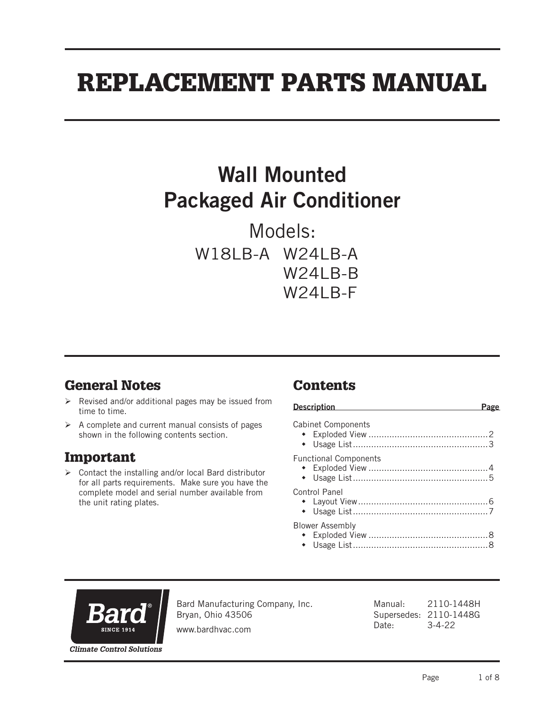# REPLACEMENT PARTS MANUAL

## Wall Mounted Packaged Air Conditioner

Models: W18LB-A W24LB-A W<sub>24</sub>I<sub>B-B</sub> W24LB-F

## General Notes

- $\triangleright$  Revised and/or additional pages may be issued from time to time.
- $\triangleright$  A complete and current manual consists of pages shown in the following contents section.

## Important

 $\triangleright$  Contact the installing and/or local Bard distributor for all parts requirements. Make sure you have the complete model and serial number available from the unit rating plates.

## **Contents**

| <b>Description</b><br>$\mathcal{L}^{\mathcal{L}}(\mathcal{L}^{\mathcal{L}}(\mathcal{L}^{\mathcal{L}}(\mathcal{L}^{\mathcal{L}}(\mathcal{L}^{\mathcal{L}}(\mathcal{L}^{\mathcal{L}}(\mathcal{L}^{\mathcal{L}}(\mathcal{L}^{\mathcal{L}}(\mathcal{L}^{\mathcal{L}}(\mathcal{L}^{\mathcal{L}}(\mathcal{L}^{\mathcal{L}}(\mathcal{L}^{\mathcal{L}}(\mathcal{L}^{\mathcal{L}}(\mathcal{L}^{\mathcal{L}}(\mathcal{L}^{\mathcal{L}}(\mathcal{L}^{\mathcal{L}}(\mathcal{L}^{\mathcal{L$ |  |
|---------------------------------------------------------------------------------------------------------------------------------------------------------------------------------------------------------------------------------------------------------------------------------------------------------------------------------------------------------------------------------------------------------------------------------------------------------------------------------|--|
| <b>Cabinet Components</b>                                                                                                                                                                                                                                                                                                                                                                                                                                                       |  |
| <b>Functional Components</b>                                                                                                                                                                                                                                                                                                                                                                                                                                                    |  |
| Control Panel                                                                                                                                                                                                                                                                                                                                                                                                                                                                   |  |
| <b>Blower Assembly</b>                                                                                                                                                                                                                                                                                                                                                                                                                                                          |  |



Bard Manufacturing Company, Inc. Bryan, Ohio 43506

www.bardhvac.com

Manual: 2110-1448H Supersedes: 2110-1448G Date: 3-4-22

**Climate Control Solutions**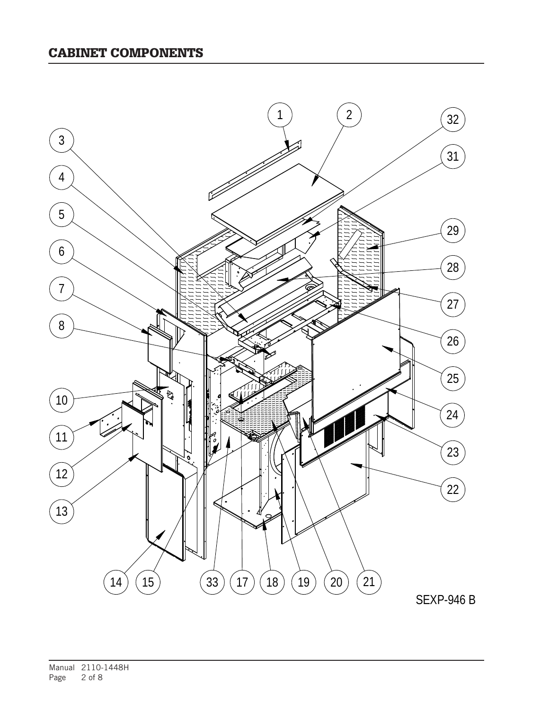#### CABINET COMPONENTS

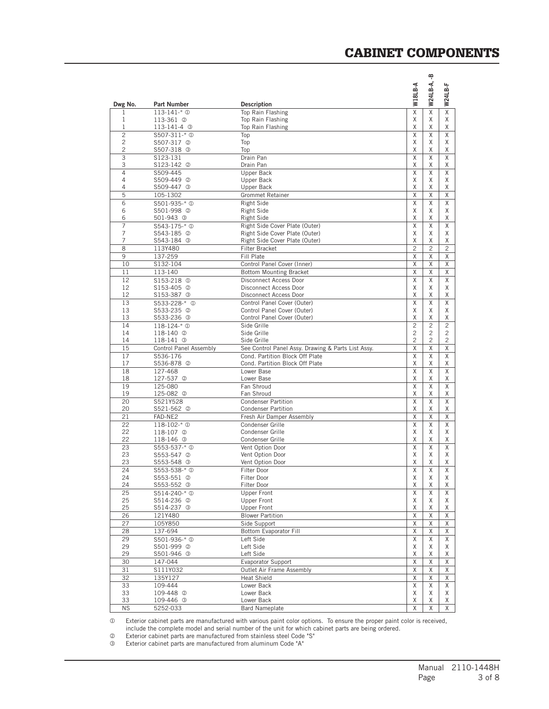|  | <b>CABINET COMPONENTS</b> |  |
|--|---------------------------|--|
|--|---------------------------|--|

|                                |                                            |                                                               |                | ۾              |                |
|--------------------------------|--------------------------------------------|---------------------------------------------------------------|----------------|----------------|----------------|
|                                |                                            |                                                               | W18LB-A        | W24LB-A,       | W24LB-F        |
| Dwg No.                        | <b>Part Number</b>                         | <b>Description</b>                                            |                |                |                |
| 1                              | $113 - 141 - * ①$                          | Top Rain Flashing                                             | χ              | $\overline{x}$ | $\overline{X}$ |
| 1<br>1                         | 113-361 ©<br>113-141-4 3                   | <b>Top Rain Flashing</b><br>Top Rain Flashing                 | X<br>Χ         | X<br>Χ         | Χ<br>Χ         |
| $\overline{c}$                 | \$507-311-* <sup>0</sup>                   | Top                                                           | Χ              | X              | Χ              |
| $\overline{c}$                 | S507-317 ©                                 | Top                                                           | X              | X              | X              |
| $\overline{c}$                 | S507-318 3                                 | Top                                                           | Χ              | X              | Χ              |
| $\overline{\overline{3}}$<br>3 | S123-131<br>S123-142 <sup>②</sup>          | Drain Pan<br>Drain Pan                                        | X<br>Χ         | X<br>Χ         | $\overline{X}$ |
| $\overline{4}$                 | S509-445                                   | Upper Back                                                    | Χ              | X              | Χ<br>X         |
| 4                              | S509-449 <sup>2</sup>                      | Upper Back                                                    | X              | X              | X              |
| 4                              | S509-447 3                                 | Upper Back                                                    | Χ              | Χ              | Χ              |
| 5                              | 105-1302                                   | <b>Grommet Retainer</b>                                       | Χ              | X              | X              |
| 6<br>6                         | \$501-935-* <sup>0</sup><br>S501-998 2     | Right Side<br><b>Right Side</b>                               | X<br>Χ         | X<br>Χ         | X<br>Χ         |
| 6                              | 501-943 3                                  | Right Side                                                    | X              | X              | X              |
| 7                              | S543-175-* ①                               | Right Side Cover Plate (Outer)                                | X              | X              | X              |
| 7                              | S543-185 2                                 | Right Side Cover Plate (Outer)                                | Χ              | X              | Χ              |
| 7                              | S543-184 3                                 | Right Side Cover Plate (Outer)                                | X              | X              | X              |
| 8                              | 113Y480                                    | <b>Filter Bracket</b>                                         | $\overline{c}$ | $\overline{c}$ | $\overline{c}$ |
| 9<br>10                        | 137-259<br>S132-104                        | Fill Plate                                                    | Χ<br>Χ         | X<br>Χ         | Χ<br>X         |
| 11                             | 113-140                                    | Control Panel Cover (Inner)<br><b>Bottom Mounting Bracket</b> | Χ              | Χ              | X              |
| 12                             | \$153-218 <sup>0</sup>                     | Disconnect Access Door                                        | Χ              | Χ              | X              |
| 12                             | S153-405 ©                                 | Disconnect Access Door                                        | X              | X              | X              |
| 12                             | S153-387 ©                                 | Disconnect Access Door                                        | χ              | Χ              | Χ              |
| 13                             | \$533-228-* <sup>0</sup>                   | Control Panel Cover (Outer)                                   | Χ              | X              | X              |
| 13<br>13                       | S533-235 <sup>@</sup>                      | Control Panel Cover (Outer)<br>Control Panel Cover (Outer)    | X<br>X         | X<br>X         | Χ<br>X         |
| 14                             | S533-236 <sup>3</sup><br>$118 - 124 - * 0$ | Side Grille                                                   | $\overline{c}$ | $\overline{2}$ | $\overline{2}$ |
| 14                             | 118-140 <sup><sup>2</sup></sup>            | Side Grille                                                   | $\overline{c}$ | $\overline{c}$ | $\overline{c}$ |
| 14                             | 118-141 3                                  | Side Grille                                                   | $\overline{c}$ | $\overline{c}$ | $\overline{c}$ |
| 15                             | Control Panel Assembly                     | See Control Panel Assy. Drawing & Parts List Assy.            | Χ              | X              | X              |
| 17<br>17                       | S536-176                                   | Cond. Partition Block Off Plate                               | X              | X              | X              |
| 18                             | S536-878 <sup>②</sup><br>127-468           | Cond. Partition Block Off Plate<br>Lower Base                 | Χ<br>Χ         | Χ<br>X         | Χ<br>X         |
| 18                             | 127-537 2                                  | Lower Base                                                    | Χ              | X              | Χ              |
| 19                             | 125-080                                    | Fan Shroud                                                    | X              | X              | X              |
| 19                             | 125-082 <sup>②</sup>                       | Fan Shroud                                                    | χ              | Χ              | Χ              |
| 20                             | S521Y528                                   | <b>Condenser Partition</b>                                    | Χ              | X              | X              |
| 20<br>21                       | S521-562 2<br>FAD-NE2                      | <b>Condenser Partition</b><br>Fresh Air Damper Assembly       | Χ<br>Χ         | Χ<br>Χ         | Χ<br>Χ         |
| 22                             | 118-102-* <sup>0</sup>                     | Condenser Grille                                              | X              | X              | X              |
| 22                             | 118-107 2                                  | Condenser Grille                                              | Χ              | X              | Χ              |
| 22                             | 118-146 3                                  | Condenser Grille                                              | Χ              | X              | Χ              |
| 23                             | \$553-537-* <sup>0</sup>                   | Vent Option Door                                              | X              | X              | X              |
| 23<br>23                       | S553-547 <sup>©</sup><br>S553-548 3        | Vent Option Door<br>Vent Option Door                          | Χ<br>Χ         | Χ<br>X         | Χ<br>X         |
| 24                             | \$553-538-* 0                              | Filter Door                                                   | X              | X              | X              |
| 24                             | \$553-551 @                                | Filter Door                                                   | χ              | Χ              | Χ              |
| 24                             | S553-552 <sup>3</sup>                      | Filter Door                                                   | χ              | Χ              | Χ              |
| 25                             | \$514-240-* <sup>0</sup>                   | Upper Front                                                   | X              | X              | X              |
| 25                             | S514-236 2                                 | Upper Front                                                   | Χ              | Χ              | Χ              |
| 25<br>26                       | S514-237 3<br>121Y480                      | Upper Front<br><b>Blower Partition</b>                        | χ<br>Χ         | Χ<br>χ         | Χ<br>X         |
| 27                             | 105Y850                                    | Side Support                                                  | Χ              | χ              | X              |
| 28                             | 137-694                                    | Bottom Evaporator Fill                                        | Χ              | Χ              | Χ              |
| 29                             | S501-936-* <sup>0</sup>                    | Left Side                                                     | Χ              | X              | Χ              |
| 29                             | S501-999 2                                 | Left Side                                                     | Χ              | Χ              | Χ              |
| 29                             | S501-946 3                                 | Left Side                                                     | χ              | Χ              | Χ              |
| 30<br>31                       | 147-044<br>S111Y032                        | Evaporator Support<br>Outlet Air Frame Assembly               | Χ<br>Χ         | χ<br>Χ         | Χ<br>Χ         |
| 32                             | 135Y127                                    | <b>Heat Shield</b>                                            | Χ              | Χ              | Χ              |
| 33                             | 109-444                                    | Lower Back                                                    | Χ              | Χ              | Χ              |
| 33                             | 109-448 2                                  | Lower Back                                                    | Χ              | Χ              | Χ              |
| 33                             | 109-446 3                                  | Lower Back                                                    | Χ              | Χ              | Χ              |
| <b>NS</b>                      | 5252-033                                   | <b>Bard Nameplate</b>                                         | χ              | Χ              | Χ              |

 Exterior cabinet parts are manufactured with various paint color options. To ensure the proper paint color is received, include the complete model and serial number of the unit for which cabinet parts are being ordered.

**2** Exterior cabinet parts are manufactured from stainless steel Code "S"

 Exterior cabinet parts are manufactured from aluminum Code "A"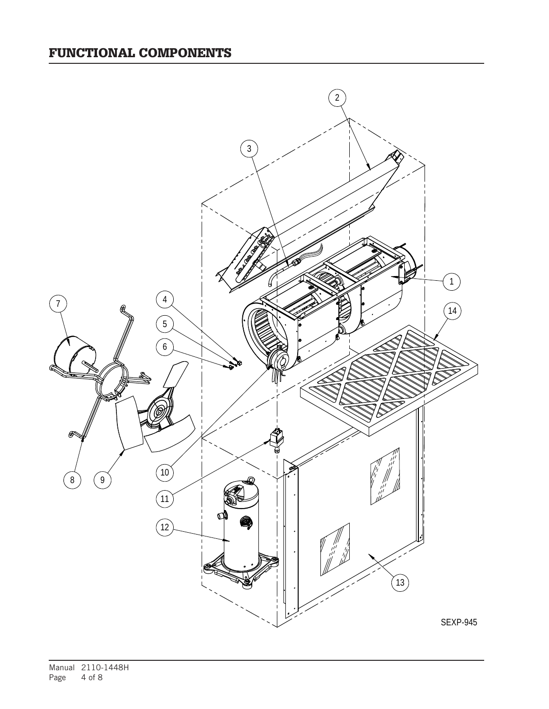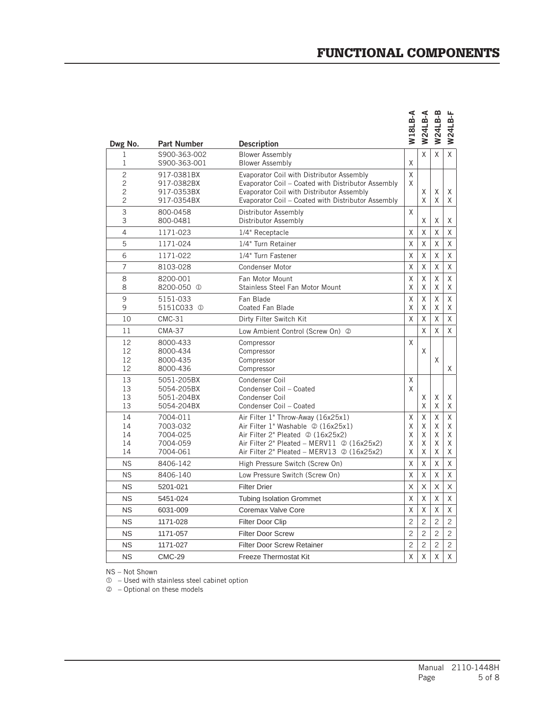## FUNCTIONAL COMPONENTS

| Dwg No.                                                 | <b>Part Number</b>                                       | <b>Description</b>                                                                                                                                                                                                | W18LB-A               | W24LB-A               | W24LB-B               | <b>W24LB-F</b>        |
|---------------------------------------------------------|----------------------------------------------------------|-------------------------------------------------------------------------------------------------------------------------------------------------------------------------------------------------------------------|-----------------------|-----------------------|-----------------------|-----------------------|
| 1<br>1                                                  | S900-363-002<br>S900-363-001                             | <b>Blower Assembly</b><br><b>Blower Assembly</b>                                                                                                                                                                  | X                     | X                     | X                     | X                     |
| $\overline{c}$<br>$\overline{c}$<br>2<br>$\overline{c}$ | 917-0381BX<br>917-0382BX<br>917-0353BX<br>917-0354BX     | Evaporator Coil with Distributor Assembly<br>Evaporator Coil - Coated with Distributor Assembly<br>Evaporator Coil with Distributor Assembly<br>Evaporator Coil - Coated with Distributor Assembly                | $\sf X$<br>X          | X<br>X                | X<br>X                | Χ<br>Χ                |
| 3<br>3                                                  | 800-0458<br>800-0481                                     | Distributor Assembly<br>Distributor Assembly                                                                                                                                                                      | X                     | X                     | Χ                     | Χ                     |
| 4                                                       | 1171-023                                                 | 1/4" Receptacle                                                                                                                                                                                                   | X                     | X                     | X                     | X                     |
| 5                                                       | 1171-024                                                 | 1/4" Turn Retainer                                                                                                                                                                                                | X                     | X                     | X                     | Χ                     |
| 6                                                       | 1171-022                                                 | 1/4" Turn Fastener                                                                                                                                                                                                | X                     | X                     | X                     | Χ                     |
| 7                                                       | 8103-028                                                 | <b>Condenser Motor</b>                                                                                                                                                                                            | X                     | X                     | χ                     | Χ                     |
| 8<br>8                                                  | 8200-001<br>8200-050 <sup>①</sup>                        | Fan Motor Mount<br>Stainless Steel Fan Motor Mount                                                                                                                                                                | χ<br>X                | Χ<br>X                | χ<br>X                | Χ<br>Χ                |
| 9<br>9                                                  | 5151-033<br>5151C033 <sup>①</sup>                        | Fan Blade<br><b>Coated Fan Blade</b>                                                                                                                                                                              | X<br>X                | X<br>X                | $\sf X$<br>X          | X<br>Χ                |
| 10                                                      | $CMC-31$                                                 | Dirty Filter Switch Kit                                                                                                                                                                                           | X                     | Χ                     | X                     | Χ                     |
| 11                                                      | <b>CMA-37</b>                                            | Low Ambient Control (Screw On) 2                                                                                                                                                                                  |                       | X                     | X                     | X                     |
| 12<br>12<br>12<br>12                                    | 8000-433<br>8000-434<br>8000-435<br>8000-436             | Compressor<br>Compressor<br>Compressor<br>Compressor                                                                                                                                                              | X                     | Χ                     | X                     | Χ                     |
| 13<br>13<br>13<br>13                                    | 5051-205BX<br>5054-205BX<br>5051-204BX<br>5054-204BX     | Condenser Coil<br>Condenser Coil - Coated<br>Condenser Coil<br>Condenser Coil - Coated                                                                                                                            | X<br>X                | X<br>Χ                | X<br>Χ                | Χ<br>Χ                |
| 14<br>14<br>14<br>14<br>14                              | 7004-011<br>7003-032<br>7004-025<br>7004-059<br>7004-061 | Air Filter 1" Throw-Away (16x25x1)<br>Air Filter 1" Washable 2 (16x25x1)<br>Air Filter 2" Pleated 2 (16x25x2)<br>Air Filter 2" Pleated - MERV11 $\oslash$ (16x25x2)<br>Air Filter 2" Pleated - MERV13 @ (16x25x2) | X<br>X<br>X<br>X<br>X | X<br>X<br>X<br>X<br>X | X<br>X<br>X<br>X<br>X | Χ<br>Χ<br>Χ<br>Χ<br>Χ |
| <b>NS</b>                                               | 8406-142                                                 | High Pressure Switch (Screw On)                                                                                                                                                                                   | X                     | Χ                     | Χ                     | χ                     |
| <b>NS</b>                                               | 8406-140                                                 | Low Pressure Switch (Screw On)                                                                                                                                                                                    | X                     | Χ                     | X                     | X                     |
| <b>NS</b>                                               | 5201-021                                                 | <b>Filter Drier</b>                                                                                                                                                                                               | X                     | X                     | X                     | X                     |
| <b>NS</b>                                               | 5451-024                                                 | <b>Tubing Isolation Grommet</b>                                                                                                                                                                                   | X                     | Χ                     | X                     | X                     |
| <b>NS</b>                                               | 6031-009                                                 | Coremax Valve Core                                                                                                                                                                                                | X                     | X                     | X                     | Χ                     |
| <b>NS</b>                                               | 1171-028                                                 | <b>Filter Door Clip</b>                                                                                                                                                                                           | $\overline{c}$        | $\overline{c}$        | $\overline{c}$        | $\overline{c}$        |
| <b>NS</b>                                               | 1171-057                                                 | <b>Filter Door Screw</b>                                                                                                                                                                                          | $\overline{2}$        | $\overline{c}$        | $\overline{c}$        | 2                     |
| <b>NS</b>                                               | 1171-027                                                 | <b>Filter Door Screw Retainer</b>                                                                                                                                                                                 | $\overline{c}$        | $\overline{c}$        | $\overline{c}$        | 2                     |
| <b>NS</b>                                               | <b>CMC-29</b>                                            | <b>Freeze Thermostat Kit</b>                                                                                                                                                                                      | X                     | $\mathsf{X}$          | X                     | X                     |

NS – Not Shown

 $<sup>0</sup>$  – Used with stainless steel cabinet option</sup>

– Optional on these models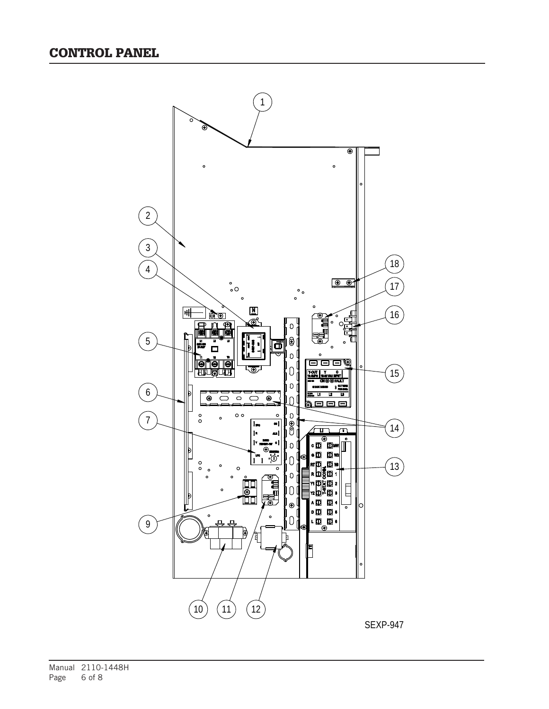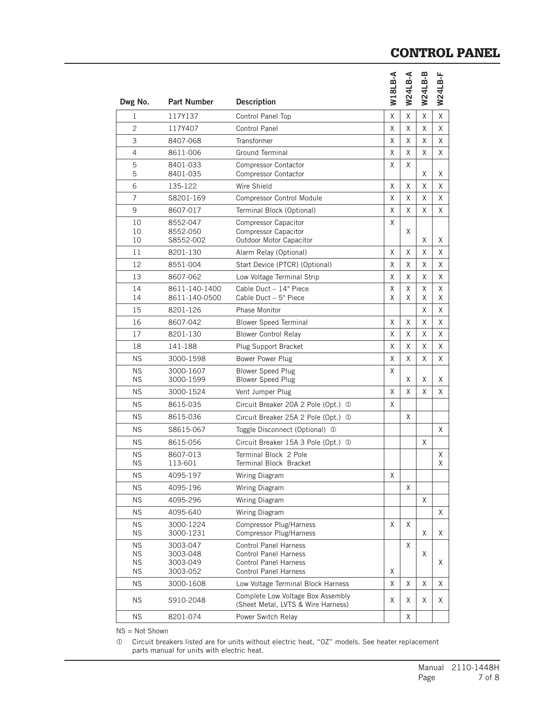## CONTROL PANEL

| Dwg No.                | <b>Part Number</b>                | <b>Description</b>                                                                    | W18LB-A     | W24LB-A | W24LB-B | W24LB-F |
|------------------------|-----------------------------------|---------------------------------------------------------------------------------------|-------------|---------|---------|---------|
| 1                      | 117Y137                           | Control Panel Top                                                                     | χ           | Χ       | X       | X       |
| $\overline{c}$         | 117Y407                           | <b>Control Panel</b>                                                                  | X           | Χ       | Χ       | X       |
| 3                      | 8407-068                          | Transformer                                                                           | X           | Χ       | X       | X       |
| $\overline{4}$         | 8611-006                          | <b>Ground Terminal</b>                                                                | X           | X       | χ       | X       |
| 5<br>5                 | 8401-033<br>8401-035              | <b>Compressor Contactor</b><br><b>Compressor Contactor</b>                            | X           | X       | Χ       | Χ       |
| 6                      | 135-122                           | Wire Shield                                                                           | X           | Χ       | X       | X       |
| $\overline{7}$         | S8201-169                         | <b>Compressor Control Module</b>                                                      | X           | Χ       | Χ       | X       |
| 9                      | 8607-017                          | Terminal Block (Optional)                                                             | X           | Χ       | X       | X       |
| 10<br>10<br>10         | 8552-047<br>8552-050<br>S8552-002 | <b>Compressor Capacitor</b><br><b>Compressor Capacitor</b><br>Outdoor Motor Capacitor | X           | X       | χ       | Χ       |
| 11                     | 8201-130                          | Alarm Relay (Optional)                                                                | X           | Χ       | Χ       | X       |
| 12                     | 8551-004                          | Start Device (PTCR) (Optional)                                                        | X           | Χ       | Χ       | Χ       |
| 13                     | 8607-062                          | Low Voltage Terminal Strip                                                            | X           | X       | Χ       | X       |
| 14<br>14               | 8611-140-1400<br>8611-140-0500    | Cable Duct - 14" Piece<br>Cable Duct - 5" Piece                                       | Χ<br>X      | X<br>X  | Χ<br>Χ  | Χ<br>X  |
| 15                     | 8201-126                          | <b>Phase Monitor</b>                                                                  |             |         | Χ       | X       |
| 16                     | 8607-042                          | <b>Blower Speed Terminal</b>                                                          | X           | Χ       | Χ       | Χ       |
| 17                     | 8201-130                          | <b>Blower Control Relay</b>                                                           | X           | Χ       | Χ       | X       |
| 18                     | 141-188                           | Plug Support Bracket                                                                  | χ           | Χ       | Χ       | Χ       |
| <b>NS</b>              | 3000-1598                         | Bower Power Plug                                                                      | X           | X       | Χ       | Χ       |
| <b>NS</b><br><b>NS</b> | 3000-1607<br>3000-1599            | <b>Blower Speed Plug</b><br><b>Blower Speed Plug</b>                                  | X           | Χ       | Χ       | Χ       |
| <b>NS</b>              | 3000-1524                         | Vent Jumper Plug                                                                      | X           | Χ       | Χ       | Χ       |
| <b>NS</b>              | 8615-035                          | Circuit Breaker 20A 2 Pole (Opt.) 1                                                   | X           |         |         |         |
| <b>NS</b>              | 8615-036                          | Circuit Breaker 25A 2 Pole (Opt.) 1                                                   |             | X       |         |         |
| <b>NS</b>              | S8615-067                         | Toggle Disconnect (Optional) 1                                                        |             |         |         | X       |
| <b>NS</b>              | 8615-056                          | Circuit Breaker 15A 3 Pole (Opt.) 1                                                   |             |         | Χ       |         |
| <b>NS</b><br><b>NS</b> | 8607-013<br>113-601               | Terminal Block 2 Pole<br>Terminal Block Bracket                                       |             |         |         | X<br>X  |
| <b>NS</b>              | 4095-197                          | Wiring Diagram                                                                        | $\mathsf X$ |         |         |         |
| <b>NS</b>              | 4095-196                          | Wiring Diagram                                                                        |             | X       |         |         |
| <b>NS</b>              | 4095-296                          | Wiring Diagram                                                                        |             |         | X       |         |
| <b>NS</b>              | 4095-640                          | Wiring Diagram                                                                        |             |         |         | Χ       |
| <b>NS</b><br><b>NS</b> | 3000-1224<br>3000-1231            | <b>Compressor Plug/Harness</b><br><b>Compressor Plug/Harness</b>                      | X           | Χ       | X       | Χ       |
| <b>NS</b><br><b>NS</b> | 3003-047<br>3003-048              | <b>Control Panel Harness</b><br><b>Control Panel Harness</b>                          |             | Χ       | X       |         |
| <b>NS</b><br><b>NS</b> | 3003-049<br>3003-052              | <b>Control Panel Harness</b><br><b>Control Panel Harness</b>                          | X           |         |         | Χ       |
| <b>NS</b>              | 3000-1608                         | Low Voltage Terminal Block Harness                                                    | χ           | Χ       | Χ       | Χ       |
| <b>NS</b>              | S910-2048                         | Complete Low Voltage Box Assembly<br>(Sheet Metal, LVTS & Wire Harness)               | X           | Χ       | Χ       | Χ       |
| <b>NS</b>              | 8201-074                          | Power Switch Relay                                                                    |             | Χ       |         |         |

NS = Not Shown

 Circuit breakers listed are for units without electric heat, "0Z" models. See heater replacement parts manual for units with electric heat.